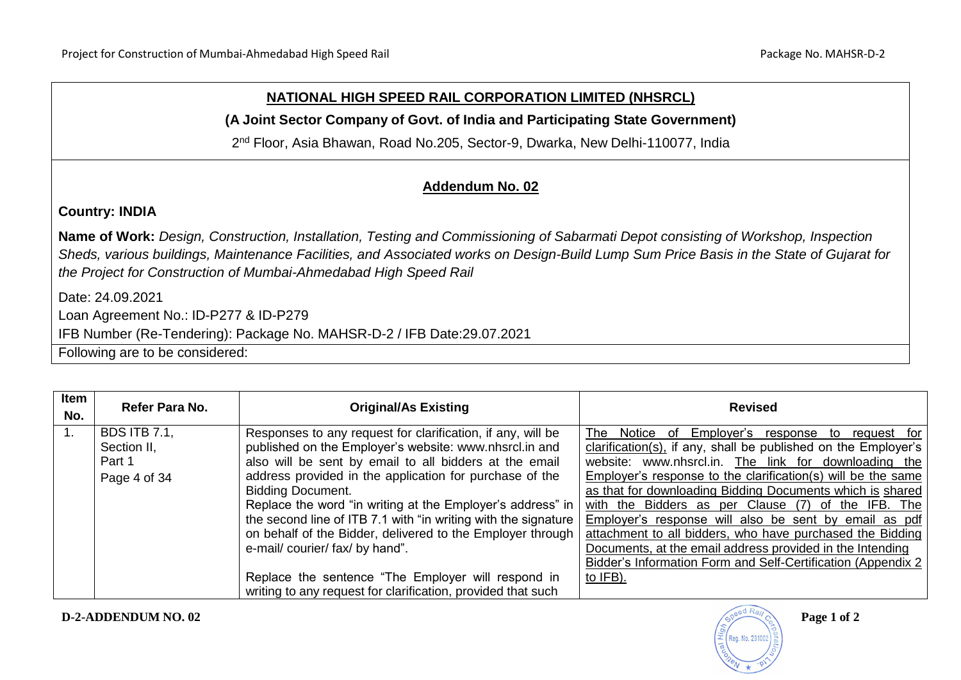## **NATIONAL HIGH SPEED RAIL CORPORATION LIMITED (NHSRCL)**

**(A Joint Sector Company of Govt. of India and Participating State Government)**

2<sup>nd</sup> Floor, Asia Bhawan, Road No.205, Sector-9, Dwarka, New Delhi-110077, India

## **Addendum No. 02**

**Country: INDIA**

**Name of Work:** *Design, Construction, Installation, Testing and Commissioning of Sabarmati Depot consisting of Workshop, Inspection Sheds, various buildings, Maintenance Facilities, and Associated works on Design-Build Lump Sum Price Basis in the State of Gujarat for the Project for Construction of Mumbai-Ahmedabad High Speed Rail*

Date: 24.09.2021

Loan Agreement No.: ID-P277 & ID-P279

IFB Number (Re-Tendering): Package No. MAHSR-D-2 / IFB Date:29.07.2021

Following are to be considered:

| Item<br>No. | Refer Para No.                                               | <b>Original/As Existing</b>                                                                                                                                                                                                                                                                                                                                                                                                                                                                                                                                                                                                     | <b>Revised</b>                                                                                                                                                                                                                                                                                                                                                                                                                                                                                                                                                                                                                            |
|-------------|--------------------------------------------------------------|---------------------------------------------------------------------------------------------------------------------------------------------------------------------------------------------------------------------------------------------------------------------------------------------------------------------------------------------------------------------------------------------------------------------------------------------------------------------------------------------------------------------------------------------------------------------------------------------------------------------------------|-------------------------------------------------------------------------------------------------------------------------------------------------------------------------------------------------------------------------------------------------------------------------------------------------------------------------------------------------------------------------------------------------------------------------------------------------------------------------------------------------------------------------------------------------------------------------------------------------------------------------------------------|
|             | <b>BDS ITB 7.1,</b><br>Section II,<br>Part 1<br>Page 4 of 34 | Responses to any request for clarification, if any, will be<br>published on the Employer's website: www.nhsrcl.in and<br>also will be sent by email to all bidders at the email<br>address provided in the application for purchase of the<br><b>Bidding Document.</b><br>Replace the word "in writing at the Employer's address" in<br>the second line of ITB 7.1 with "in writing with the signature  <br>on behalf of the Bidder, delivered to the Employer through<br>e-mail/ courier/ fax/ by hand".<br>Replace the sentence "The Employer will respond in<br>writing to any request for clarification, provided that such | Employer's<br>Notice of<br>The<br>response to<br>request for<br>clarification(s), if any, shall be published on the Employer's<br>website: www.nhsrcl.in. The link for downloading the<br>Employer's response to the clarification(s) will be the same<br>as that for downloading Bidding Documents which is shared<br>with the Bidders as per Clause (7) of the IFB. The<br>Employer's response will also be sent by email as pdf<br>attachment to all bidders, who have purchased the Bidding<br>Documents, at the email address provided in the Intending<br>Bidder's Information Form and Self-Certification (Appendix 2)<br>to IFB). |

Reg. No. 29100